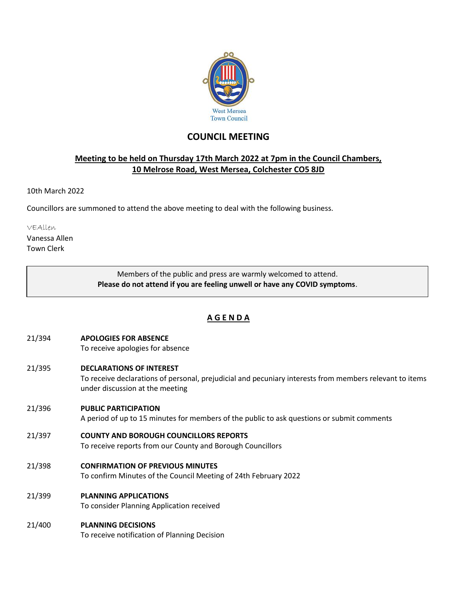

# **COUNCIL MEETING**

### **Meeting to be held on Thursday 17th March 2022 at 7pm in the Council Chambers, 10 Melrose Road, West Mersea, Colchester CO5 8JD**

#### 10th March 2022

Councillors are summoned to attend the above meeting to deal with the following business.

VEAllen

Vanessa Allen Town Clerk

> Members of the public and press are warmly welcomed to attend. **Please do not attend if you are feeling unwell or have any COVID symptoms**.

## **A G E N D A**

- 21/394 **APOLOGIES FOR ABSENCE**
	- To receive apologies for absence
- 21/395 **DECLARATIONS OF INTEREST**

To receive declarations of personal, prejudicial and pecuniary interests from members relevant to items under discussion at the meeting

21/396 **PUBLIC PARTICIPATION**

A period of up to 15 minutes for members of the public to ask questions or submit comments

- 21/397 **COUNTY AND BOROUGH COUNCILLORS REPORTS**
	- To receive reports from our County and Borough Councillors
- 21/398 **CONFIRMATION OF PREVIOUS MINUTES**

To confirm Minutes of the Council Meeting of 24th February 2022

21/399 **PLANNING APPLICATIONS**

To consider Planning Application received

21/400 **PLANNING DECISIONS** To receive notification of Planning Decision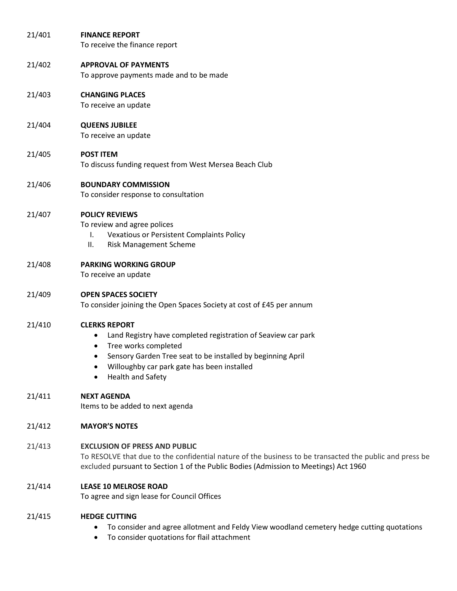| 21/401 | <b>FINANCE REPORT</b><br>To receive the finance report                                                                                                                                                                                                                                      |
|--------|---------------------------------------------------------------------------------------------------------------------------------------------------------------------------------------------------------------------------------------------------------------------------------------------|
| 21/402 | <b>APPROVAL OF PAYMENTS</b><br>To approve payments made and to be made                                                                                                                                                                                                                      |
| 21/403 | <b>CHANGING PLACES</b><br>To receive an update                                                                                                                                                                                                                                              |
| 21/404 | <b>QUEENS JUBILEE</b><br>To receive an update                                                                                                                                                                                                                                               |
| 21/405 | <b>POST ITEM</b><br>To discuss funding request from West Mersea Beach Club                                                                                                                                                                                                                  |
| 21/406 | <b>BOUNDARY COMMISSION</b><br>To consider response to consultation                                                                                                                                                                                                                          |
| 21/407 | <b>POLICY REVIEWS</b><br>To review and agree polices<br><b>Vexatious or Persistent Complaints Policy</b><br>Τ.<br>ΙΙ.<br><b>Risk Management Scheme</b>                                                                                                                                      |
| 21/408 | <b>PARKING WORKING GROUP</b><br>To receive an update                                                                                                                                                                                                                                        |
| 21/409 | <b>OPEN SPACES SOCIETY</b><br>To consider joining the Open Spaces Society at cost of £45 per annum                                                                                                                                                                                          |
| 21/410 | <b>CLERKS REPORT</b><br>Land Registry have completed registration of Seaview car park<br>$\bullet$<br>Tree works completed<br>٠<br>Sensory Garden Tree seat to be installed by beginning April<br>٠<br>Willoughby car park gate has been installed<br>$\bullet$<br><b>Health and Safety</b> |
| 21/411 | <b>NEXT AGENDA</b><br>Items to be added to next agenda                                                                                                                                                                                                                                      |
| 21/412 | <b>MAYOR'S NOTES</b>                                                                                                                                                                                                                                                                        |
| 21/413 | <b>EXCLUSION OF PRESS AND PUBLIC</b><br>To RESOLVE that due to the confidential nature of the business to be transacted the public and press be<br>excluded pursuant to Section 1 of the Public Bodies (Admission to Meetings) Act 1960                                                     |
| 21/414 | <b>LEASE 10 MELROSE ROAD</b><br>To agree and sign lease for Council Offices                                                                                                                                                                                                                 |
| 21/415 | <b>HEDGE CUTTING</b><br>To consider and agree allotment and Feldy View woodland cemetery hedge cutting quotations<br>$\bullet$<br>To consider quotations for flail attachment<br>٠                                                                                                          |